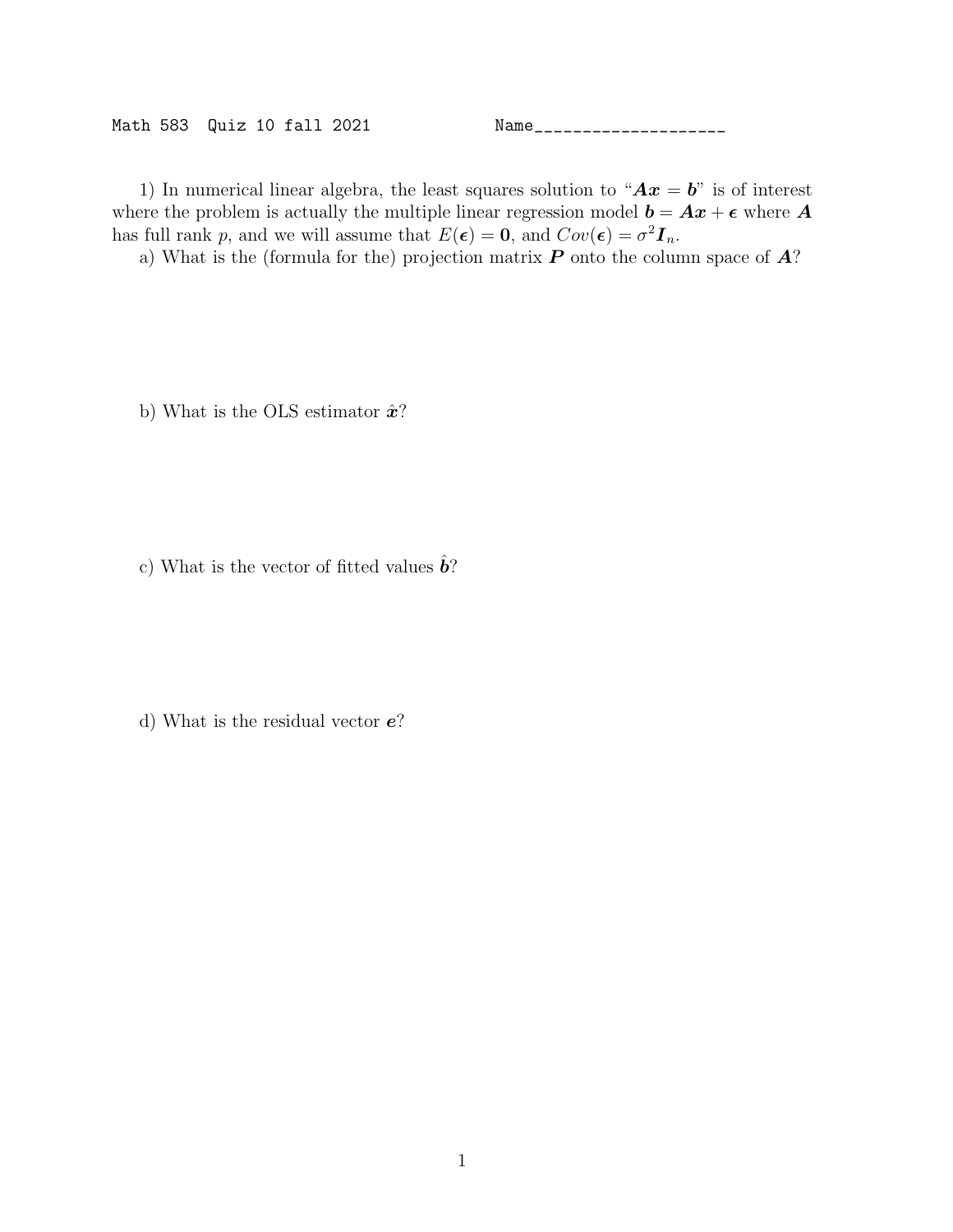Math 583 Quiz 10 fall 2021 Name\_\_\_\_\_\_\_\_\_\_\_\_\_\_\_\_\_\_\_\_

1) In numerical linear algebra, the least squares solution to " $Ax = b$ " is of interest where the problem is actually the multiple linear regression model  $\mathbf{b} = \mathbf{A}\mathbf{x} + \boldsymbol{\epsilon}$  where  $\mathbf{A}$ has full rank p, and we will assume that  $E(\epsilon) = 0$ , and  $Cov(\epsilon) = \sigma^2 I_n$ .

a) What is the (formula for the) projection matrix  $P$  onto the column space of  $A$ ?

b) What is the OLS estimator  $\hat{\boldsymbol{x}}$ ?

c) What is the vector of fitted values  $\hat{b}$ ?

d) What is the residual vector e?